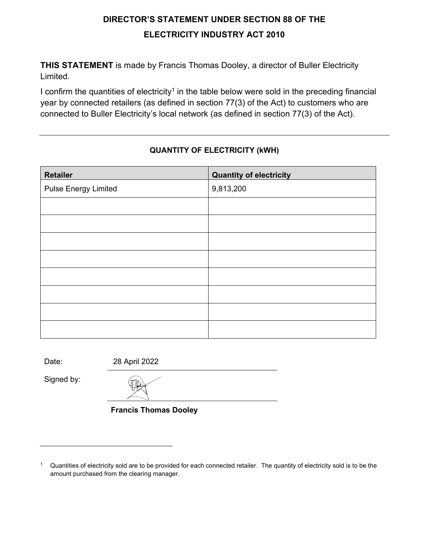## **DIRECTOR'S STATEMENT UNDER SECTION 88 OF THE ELECTRICITY INDUSTRY ACT 2010**

**THIS STATEMENT** is made by Francis Thomas Dooley, a director of Buller Electricity Limited.

I confirm the quantities of electricity<sup>1</sup> in the table below were sold in the preceding financial year by connected retailers (as defined in section 77(3) of the Act) to customers who are connected to Buller Electricity's local network (as defined in section 77(3) of the Act).

## **QUANTITY OF ELECTRICITY (kWH)**

| <b>Retailer</b>             | <b>Quantity of electricity</b> |
|-----------------------------|--------------------------------|
| <b>Pulse Energy Limited</b> | 9,813,200                      |
|                             |                                |
|                             |                                |
|                             |                                |
|                             |                                |
|                             |                                |
|                             |                                |
|                             |                                |
|                             |                                |

Date: 28 April 2022

Signed by:

**Francis Thomas Dooley**

<sup>&</sup>lt;sup>1</sup> Quantities of electricity sold are to be provided for each connected retailer. The quantity of electricity sold is to be the amount purchased from the clearing manager.